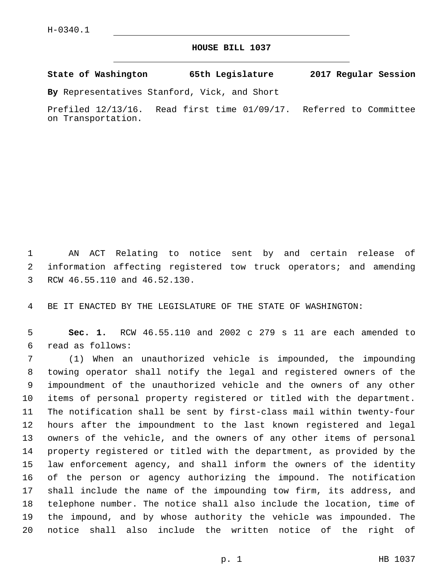## **HOUSE BILL 1037**

**State of Washington 65th Legislature 2017 Regular Session**

**By** Representatives Stanford, Vick, and Short

Prefiled 12/13/16. Read first time 01/09/17. Referred to Committee on Transportation.

 AN ACT Relating to notice sent by and certain release of information affecting registered tow truck operators; and amending 3 RCW 46.55.110 and 46.52.130.

BE IT ENACTED BY THE LEGISLATURE OF THE STATE OF WASHINGTON:

 **Sec. 1.** RCW 46.55.110 and 2002 c 279 s 11 are each amended to read as follows:6

 (1) When an unauthorized vehicle is impounded, the impounding towing operator shall notify the legal and registered owners of the impoundment of the unauthorized vehicle and the owners of any other items of personal property registered or titled with the department. The notification shall be sent by first-class mail within twenty-four hours after the impoundment to the last known registered and legal owners of the vehicle, and the owners of any other items of personal property registered or titled with the department, as provided by the law enforcement agency, and shall inform the owners of the identity of the person or agency authorizing the impound. The notification shall include the name of the impounding tow firm, its address, and telephone number. The notice shall also include the location, time of the impound, and by whose authority the vehicle was impounded. The notice shall also include the written notice of the right of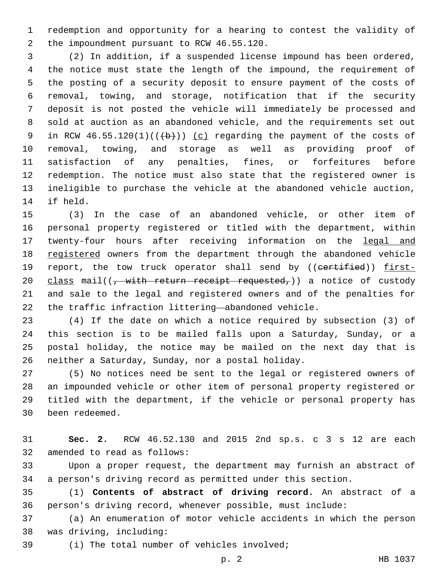redemption and opportunity for a hearing to contest the validity of 2 the impoundment pursuant to RCW 46.55.120.

 (2) In addition, if a suspended license impound has been ordered, the notice must state the length of the impound, the requirement of the posting of a security deposit to ensure payment of the costs of removal, towing, and storage, notification that if the security deposit is not posted the vehicle will immediately be processed and sold at auction as an abandoned vehicle, and the requirements set out 9 in RCW  $46.55.120(1)((+b))$  (c) regarding the payment of the costs of removal, towing, and storage as well as providing proof of satisfaction of any penalties, fines, or forfeitures before redemption. The notice must also state that the registered owner is ineligible to purchase the vehicle at the abandoned vehicle auction, 14 if held.

 (3) In the case of an abandoned vehicle, or other item of personal property registered or titled with the department, within 17 twenty-four hours after receiving information on the legal and 18 registered owners from the department through the abandoned vehicle 19 report, the tow truck operator shall send by ((certified)) first-20 class mail( $\frac{1}{2}$ , with return receipt requested,) a notice of custody and sale to the legal and registered owners and of the penalties for the traffic infraction littering—abandoned vehicle.

 (4) If the date on which a notice required by subsection (3) of this section is to be mailed falls upon a Saturday, Sunday, or a postal holiday, the notice may be mailed on the next day that is 26 neither a Saturday, Sunday, nor a postal holiday.

 (5) No notices need be sent to the legal or registered owners of an impounded vehicle or other item of personal property registered or titled with the department, if the vehicle or personal property has 30 been redeemed.

 **Sec. 2.** RCW 46.52.130 and 2015 2nd sp.s. c 3 s 12 are each 32 amended to read as follows:

 Upon a proper request, the department may furnish an abstract of a person's driving record as permitted under this section.

 (1) **Contents of abstract of driving record.** An abstract of a person's driving record, whenever possible, must include:

 (a) An enumeration of motor vehicle accidents in which the person 38 was driving, including:

(i) The total number of vehicles involved;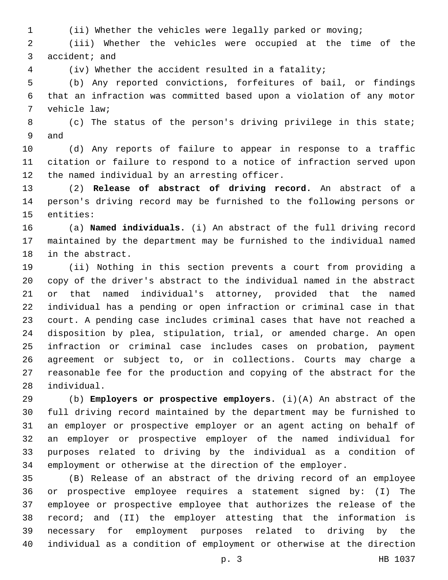(ii) Whether the vehicles were legally parked or moving;

 (iii) Whether the vehicles were occupied at the time of the 3 accident; and

(iv) Whether the accident resulted in a fatality;

 (b) Any reported convictions, forfeitures of bail, or findings that an infraction was committed based upon a violation of any motor 7 vehicle law;

 (c) The status of the person's driving privilege in this state; 9 and

 (d) Any reports of failure to appear in response to a traffic citation or failure to respond to a notice of infraction served upon 12 the named individual by an arresting officer.

 (2) **Release of abstract of driving record.** An abstract of a person's driving record may be furnished to the following persons or 15 entities:

 (a) **Named individuals.** (i) An abstract of the full driving record maintained by the department may be furnished to the individual named 18 in the abstract.

 (ii) Nothing in this section prevents a court from providing a copy of the driver's abstract to the individual named in the abstract or that named individual's attorney, provided that the named individual has a pending or open infraction or criminal case in that court. A pending case includes criminal cases that have not reached a disposition by plea, stipulation, trial, or amended charge. An open infraction or criminal case includes cases on probation, payment agreement or subject to, or in collections. Courts may charge a reasonable fee for the production and copying of the abstract for the 28 individual.

 (b) **Employers or prospective employers.** (i)(A) An abstract of the full driving record maintained by the department may be furnished to an employer or prospective employer or an agent acting on behalf of an employer or prospective employer of the named individual for purposes related to driving by the individual as a condition of employment or otherwise at the direction of the employer.

 (B) Release of an abstract of the driving record of an employee or prospective employee requires a statement signed by: (I) The employee or prospective employee that authorizes the release of the record; and (II) the employer attesting that the information is necessary for employment purposes related to driving by the individual as a condition of employment or otherwise at the direction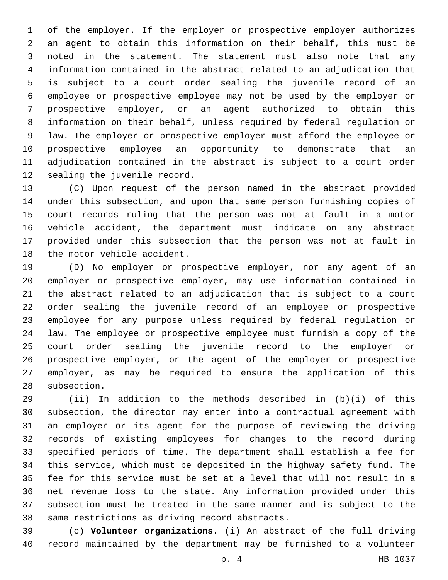of the employer. If the employer or prospective employer authorizes an agent to obtain this information on their behalf, this must be noted in the statement. The statement must also note that any information contained in the abstract related to an adjudication that is subject to a court order sealing the juvenile record of an employee or prospective employee may not be used by the employer or prospective employer, or an agent authorized to obtain this information on their behalf, unless required by federal regulation or law. The employer or prospective employer must afford the employee or prospective employee an opportunity to demonstrate that an adjudication contained in the abstract is subject to a court order 12 sealing the juvenile record.

 (C) Upon request of the person named in the abstract provided under this subsection, and upon that same person furnishing copies of court records ruling that the person was not at fault in a motor vehicle accident, the department must indicate on any abstract provided under this subsection that the person was not at fault in 18 the motor vehicle accident.

 (D) No employer or prospective employer, nor any agent of an employer or prospective employer, may use information contained in the abstract related to an adjudication that is subject to a court order sealing the juvenile record of an employee or prospective employee for any purpose unless required by federal regulation or law. The employee or prospective employee must furnish a copy of the court order sealing the juvenile record to the employer or prospective employer, or the agent of the employer or prospective employer, as may be required to ensure the application of this 28 subsection.

 (ii) In addition to the methods described in (b)(i) of this subsection, the director may enter into a contractual agreement with an employer or its agent for the purpose of reviewing the driving records of existing employees for changes to the record during specified periods of time. The department shall establish a fee for this service, which must be deposited in the highway safety fund. The fee for this service must be set at a level that will not result in a net revenue loss to the state. Any information provided under this subsection must be treated in the same manner and is subject to the 38 same restrictions as driving record abstracts.

 (c) **Volunteer organizations.** (i) An abstract of the full driving record maintained by the department may be furnished to a volunteer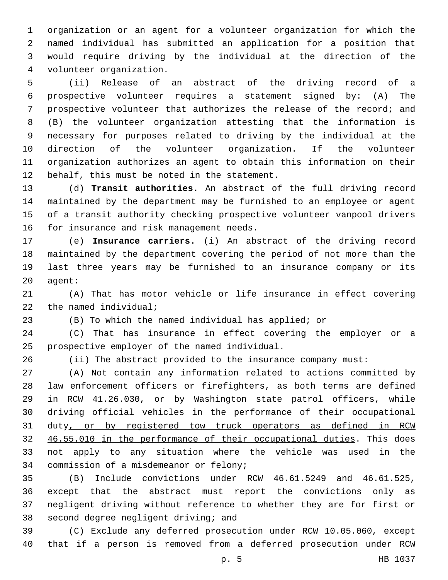organization or an agent for a volunteer organization for which the named individual has submitted an application for a position that would require driving by the individual at the direction of the volunteer organization.4

 (ii) Release of an abstract of the driving record of a prospective volunteer requires a statement signed by: (A) The prospective volunteer that authorizes the release of the record; and (B) the volunteer organization attesting that the information is necessary for purposes related to driving by the individual at the direction of the volunteer organization. If the volunteer organization authorizes an agent to obtain this information on their 12 behalf, this must be noted in the statement.

 (d) **Transit authorities.** An abstract of the full driving record maintained by the department may be furnished to an employee or agent of a transit authority checking prospective volunteer vanpool drivers 16 for insurance and risk management needs.

 (e) **Insurance carriers.** (i) An abstract of the driving record maintained by the department covering the period of not more than the last three years may be furnished to an insurance company or its agent:

 (A) That has motor vehicle or life insurance in effect covering 22  $the$  named individual;

(B) To which the named individual has applied; or

 (C) That has insurance in effect covering the employer or a 25 prospective employer of the named individual.

(ii) The abstract provided to the insurance company must:

 (A) Not contain any information related to actions committed by law enforcement officers or firefighters, as both terms are defined in RCW 41.26.030, or by Washington state patrol officers, while driving official vehicles in the performance of their occupational duty, or by registered tow truck operators as defined in RCW 46.55.010 in the performance of their occupational duties. This does not apply to any situation where the vehicle was used in the 34 commission of a misdemeanor or felony;

 (B) Include convictions under RCW 46.61.5249 and 46.61.525, except that the abstract must report the convictions only as negligent driving without reference to whether they are for first or 38 second degree negligent driving; and

 (C) Exclude any deferred prosecution under RCW 10.05.060, except that if a person is removed from a deferred prosecution under RCW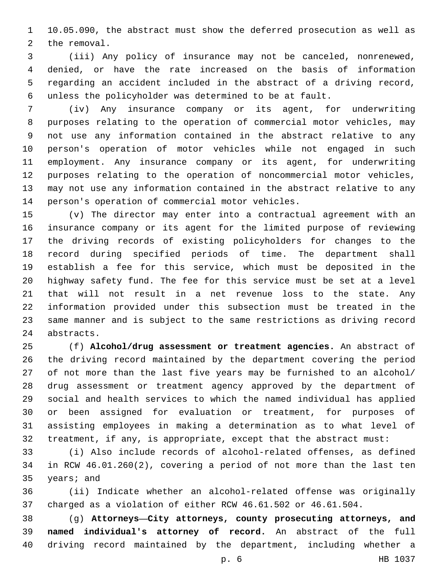10.05.090, the abstract must show the deferred prosecution as well as 2 the removal.

 (iii) Any policy of insurance may not be canceled, nonrenewed, denied, or have the rate increased on the basis of information regarding an accident included in the abstract of a driving record, unless the policyholder was determined to be at fault.

 (iv) Any insurance company or its agent, for underwriting purposes relating to the operation of commercial motor vehicles, may not use any information contained in the abstract relative to any person's operation of motor vehicles while not engaged in such employment. Any insurance company or its agent, for underwriting purposes relating to the operation of noncommercial motor vehicles, may not use any information contained in the abstract relative to any 14 person's operation of commercial motor vehicles.

 (v) The director may enter into a contractual agreement with an insurance company or its agent for the limited purpose of reviewing the driving records of existing policyholders for changes to the record during specified periods of time. The department shall establish a fee for this service, which must be deposited in the highway safety fund. The fee for this service must be set at a level that will not result in a net revenue loss to the state. Any information provided under this subsection must be treated in the same manner and is subject to the same restrictions as driving record 24 abstracts.

 (f) **Alcohol/drug assessment or treatment agencies.** An abstract of the driving record maintained by the department covering the period of not more than the last five years may be furnished to an alcohol/ drug assessment or treatment agency approved by the department of social and health services to which the named individual has applied or been assigned for evaluation or treatment, for purposes of assisting employees in making a determination as to what level of treatment, if any, is appropriate, except that the abstract must:

 (i) Also include records of alcohol-related offenses, as defined in RCW 46.01.260(2), covering a period of not more than the last ten 35 years; and

 (ii) Indicate whether an alcohol-related offense was originally charged as a violation of either RCW 46.61.502 or 46.61.504.

 (g) **Attorneys—City attorneys, county prosecuting attorneys, and named individual's attorney of record.** An abstract of the full driving record maintained by the department, including whether a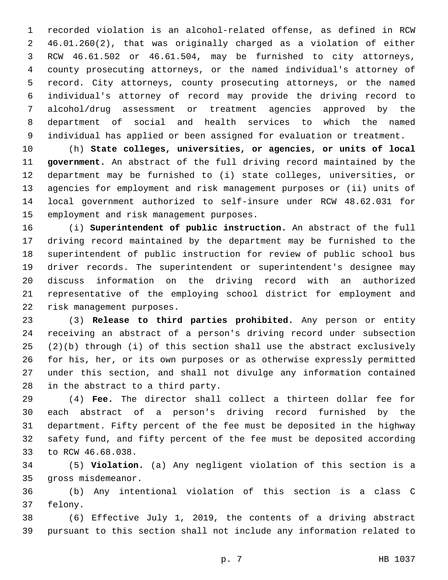recorded violation is an alcohol-related offense, as defined in RCW 46.01.260(2), that was originally charged as a violation of either RCW 46.61.502 or 46.61.504, may be furnished to city attorneys, county prosecuting attorneys, or the named individual's attorney of record. City attorneys, county prosecuting attorneys, or the named individual's attorney of record may provide the driving record to alcohol/drug assessment or treatment agencies approved by the department of social and health services to which the named individual has applied or been assigned for evaluation or treatment.

 (h) **State colleges, universities, or agencies, or units of local government.** An abstract of the full driving record maintained by the department may be furnished to (i) state colleges, universities, or agencies for employment and risk management purposes or (ii) units of local government authorized to self-insure under RCW 48.62.031 for 15 employment and risk management purposes.

 (i) **Superintendent of public instruction.** An abstract of the full driving record maintained by the department may be furnished to the superintendent of public instruction for review of public school bus driver records. The superintendent or superintendent's designee may discuss information on the driving record with an authorized representative of the employing school district for employment and 22 risk management purposes.

 (3) **Release to third parties prohibited.** Any person or entity receiving an abstract of a person's driving record under subsection (2)(b) through (i) of this section shall use the abstract exclusively for his, her, or its own purposes or as otherwise expressly permitted under this section, and shall not divulge any information contained 28 in the abstract to a third party.

 (4) **Fee.** The director shall collect a thirteen dollar fee for each abstract of a person's driving record furnished by the department. Fifty percent of the fee must be deposited in the highway safety fund, and fifty percent of the fee must be deposited according 33 to RCW 46.68.038.

 (5) **Violation.** (a) Any negligent violation of this section is a 35 gross misdemeanor.

 (b) Any intentional violation of this section is a class C 37 felony.

 (6) Effective July 1, 2019, the contents of a driving abstract pursuant to this section shall not include any information related to